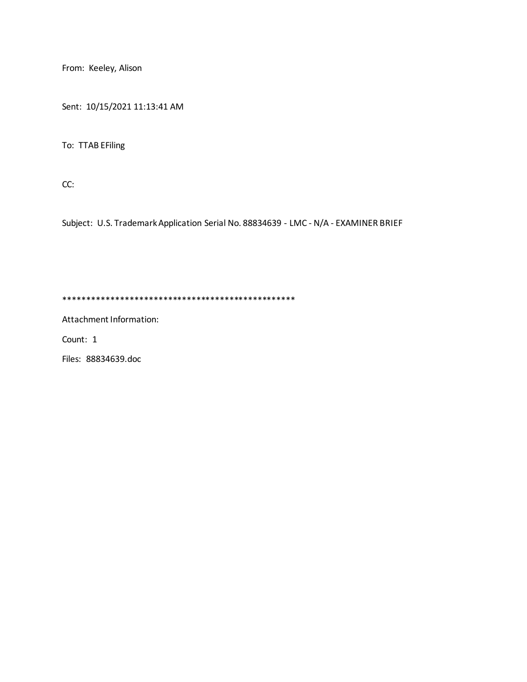From: Keeley, Alison

Sent: 10/15/2021 11:13:41 AM

To: TTAB EFiling

CC:

Subject: U.S. Trademark Application Serial No. 88834639 - LMC - N/A - EXAMINER BRIEF

\*\*\*\*\*\*\*\*\*\*\*\*\*\*\*\*\*\*\*\*\*\*\*\*\*\*\*\*\*\*\*\*\*\*\*\*\*\*\*\*\*\*\*\*\*\*\*\*\*

Attachment Information:

Count: 1

Files: 88834639.doc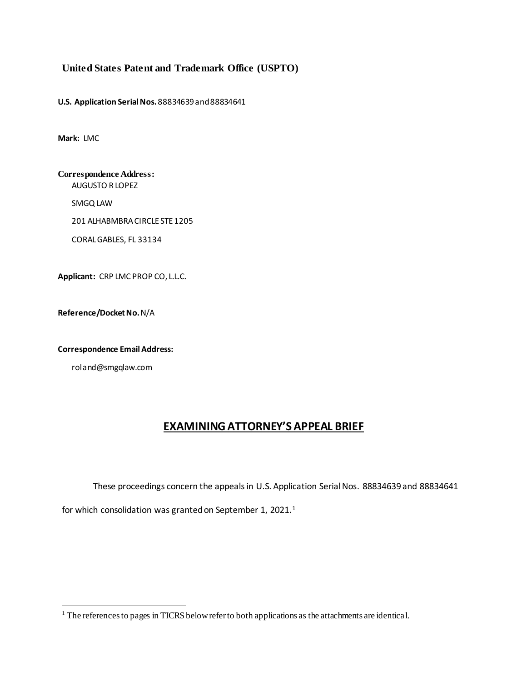## **United States Patent and Trademark Office (USPTO)**

**U.S. Application SerialNos.**88834639and 88834641

**Mark:** LMC

**Correspondence Address:** AUGUSTO R LOPEZ

SMGQ LAW

201 ALHABMBRA CIRCLE STE 1205

CORAL GABLES, FL 33134

**Applicant:** CRP LMC PROP CO, L.L.C.

**Reference/DocketNo.**N/A

**Correspondence EmailAddress:**

roland@smgqlaw.com

1

# **EXAMINING ATTORNEY'S APPEAL BRIEF**

These proceedings concern the appeals in U.S. Application Serial Nos. 88834639 and 88834641

for which consolidation was granted on September 1, 2021.<sup>1</sup>

 $1$  The references to pages in TICRS below refer to both applications as the attachments are identical.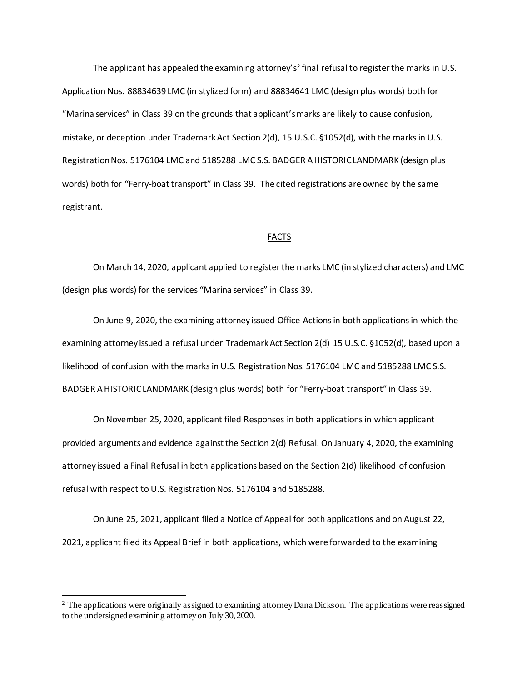The applicant has appealed the examining attorney's<sup>2</sup> final refusal to register the marks in U.S. Application Nos. 88834639 LMC (in stylized form) and 88834641 LMC (design plus words) both for "Marina services" in Class 39 on the grounds that applicant's marks are likely to cause confusion, mistake, or deception under Trademark Act Section 2(d), 15 U.S.C. §1052(d), with the marks in U.S. Registration Nos. 5176104 LMC and 5185288 LMC S.S. BADGER A HISTORIC LANDMARK (design plus words) both for "Ferry-boat transport" in Class 39. The cited registrations are owned by the same registrant.

#### **FACTS**

On March 14, 2020, applicant applied to register the marks LMC (in stylized characters) and LMC (design plus words) for the services "Marina services" in Class 39.

On June 9, 2020, the examining attorney issued Office Actions in both applications in which the examining attorney issued a refusal under Trademark Act Section 2(d) 15 U.S.C. §1052(d), based upon a likelihood of confusion with the marks in U.S. Registration Nos. 5176104 LMC and 5185288 LMC S.S. BADGER A HISTORIC LANDMARK (design plus words) both for "Ferry-boat transport" in Class 39.

On November 25, 2020, applicant filed Responses in both applications in which applicant provided arguments and evidence against the Section 2(d) Refusal. On January 4, 2020, the examining attorney issued a Final Refusal in both applications based on the Section 2(d) likelihood of confusion refusal with respect to U.S. Registration Nos. 5176104 and 5185288.

On June 25, 2021, applicant filed a Notice of Appeal for both applications and on August 22, 2021, applicant filed its Appeal Brief in both applications, which were forwarded to the examining

1

<sup>&</sup>lt;sup>2</sup> The applications were originally assigned to examining attorney Dana Dickson. The applications were reassigned to the undersigned examining attorney on July 30, 2020.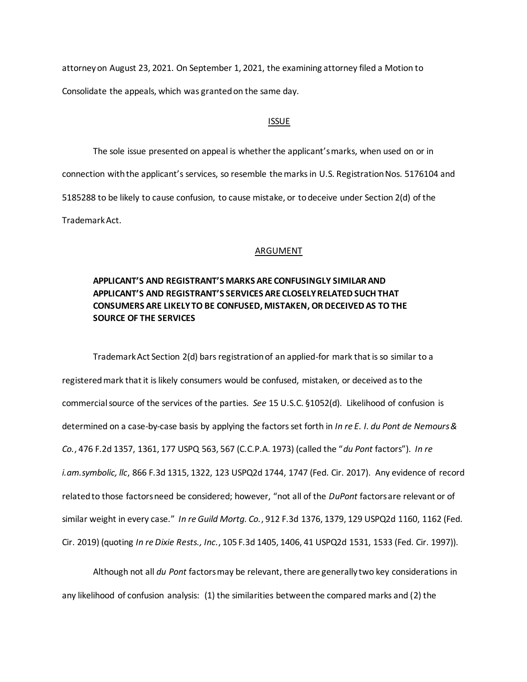attorney on August 23, 2021. On September 1, 2021, the examining attorney filed a Motion to Consolidate the appeals, which was granted on the same day.

#### ISSUE

The sole issue presented on appeal is whether the applicant's marks, when used on or in connection with the applicant's services, so resemble the marksin U.S. Registration Nos. 5176104 and 5185288 to be likely to cause confusion, to cause mistake, or to deceive under Section 2(d) of the Trademark Act.

### ARGUMENT

# **APPLICANT'S AND REGISTRANT'S MARKS ARE CONFUSINGLY SIMILAR AND APPLICANT'S AND REGISTRANT'S SERVICES ARE CLOSELY RELATED SUCH THAT CONSUMERS ARE LIKELY TO BE CONFUSED, MISTAKEN, OR DECEIVED AS TO THE SOURCE OF THE SERVICES**

Trademark Act Section 2(d) bars registration of an applied-for mark that is so similar to a registered mark that it is likely consumers would be confused, mistaken, or deceived as to the commercial source of the services of the parties. *See* 15 U.S.C. §1052(d). Likelihood of confusion is determined on a case-by-case basis by applying the factors set forth in *In re E. I. du Pont de Nemours & Co.*, 476 F.2d 1357, 1361, 177 USPQ 563, 567 (C.C.P.A. 1973) (called the "*du Pont* factors"). *In re i.am.symbolic, llc*, 866 F.3d 1315, 1322, 123 USPQ2d 1744, 1747 (Fed. Cir. 2017). Any evidence of record related to those factors need be considered; however, "not all of the *DuPont* factors are relevant or of similar weight in every case." *In re Guild Mortg. Co.*, 912 F.3d 1376, 1379, 129 USPQ2d 1160, 1162 (Fed. Cir. 2019) (quoting *In re Dixie Rests., Inc.*, 105 F.3d 1405, 1406, 41 USPQ2d 1531, 1533 (Fed. Cir. 1997)).

Although not all *du Pont* factors may be relevant, there are generally two key considerations in any likelihood of confusion analysis: (1) the similarities between the compared marks and (2) the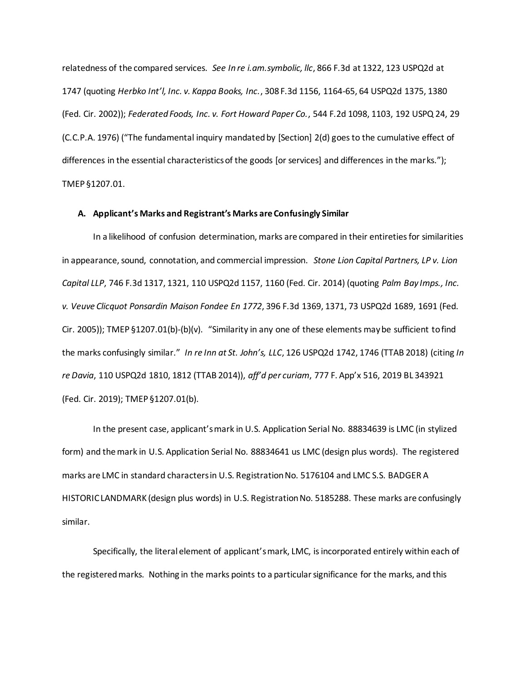relatedness of the compared services. *See In re i.am.symbolic, llc*, 866 F.3d at 1322, 123 USPQ2d at 1747 (quoting *Herbko Int'l, Inc. v. Kappa Books, Inc.*, 308 F.3d 1156, 1164-65, 64 USPQ2d 1375, 1380 (Fed. Cir. 2002)); *Federated Foods, Inc. v. Fort Howard Paper Co.*, 544 F.2d 1098, 1103, 192 USPQ 24, 29 (C.C.P.A. 1976) ("The fundamental inquiry mandated by [Section] 2(d) goes to the cumulative effect of differences in the essential characteristics of the goods [or services] and differences in the marks."); TMEP §1207.01.

#### **A. Applicant's Marks and Registrant's Marks are Confusingly Similar**

In a likelihood of confusion determination, marks are compared in their entireties for similarities in appearance, sound, connotation, and commercial impression. *Stone Lion Capital Partners, LP v. Lion Capital LLP*, 746 F.3d 1317, 1321, 110 USPQ2d 1157, 1160 (Fed. Cir. 2014) (quoting *Palm Bay Imps., Inc. v. Veuve Clicquot Ponsardin Maison Fondee En 1772*, 396 F.3d 1369, 1371, 73 USPQ2d 1689, 1691 (Fed. Cir. 2005)); TMEP §1207.01(b)-(b)(v). "Similarity in any one of these elements may be sufficient to find the marks confusingly similar." *In re Inn at St. John's, LLC*, 126 USPQ2d 1742, 1746 (TTAB 2018) (citing *In re Davia*, 110 USPQ2d 1810, 1812 (TTAB 2014)), *aff'd per curiam*, 777 F. App'x 516, 2019 BL 343921 (Fed. Cir. 2019); TMEP §1207.01(b).

In the present case, applicant's mark in U.S. Application Serial No. 88834639 is LMC (in stylized form) and the mark in U.S. Application Serial No. 88834641 us LMC (design plus words). The registered marks are LMC in standard characters in U.S. Registration No. 5176104 and LMC S.S. BADGER A HISTORIC LANDMARK (design plus words) in U.S. Registration No. 5185288. These marks are confusingly similar.

Specifically, the literal element of applicant's mark, LMC, is incorporated entirely within each of the registered marks. Nothing in the marks points to a particular significance for the marks, and this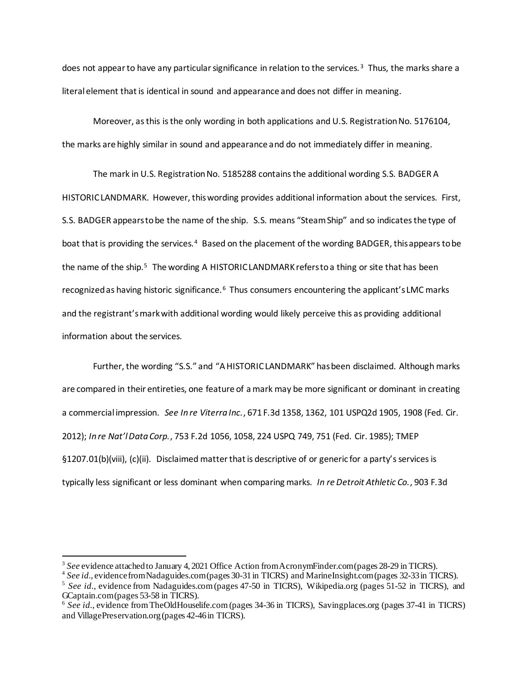does not appear to have any particular significance in relation to the services.<sup>3</sup> Thus, the marks share a literal element that is identical in sound and appearance and does not differ in meaning.

Moreover, as this is the only wording in both applications and U.S. Registration No. 5176104, the marks are highly similar in sound and appearance and do not immediately differ in meaning.

The mark in U.S. Registration No. 5185288 contains the additional wording S.S. BADGER A HISTORIC LANDMARK. However, this wording provides additional information about the services. First, S.S. BADGER appears to be the name of the ship. S.S. means "Steam Ship" and so indicates the type of boat that is providing the services.<sup>4</sup> Based on the placement of the wording BADGER, this appears to be the name of the ship.<sup>5</sup> The wording A HISTORIC LANDMARK refers to a thing or site that has been recognized as having historic significance.<sup>6</sup> Thus consumers encountering the applicant's LMC marks and the registrant's mark with additional wording would likely perceive this as providing additional information about the services.

Further, the wording "S.S." and "A HISTORIC LANDMARK" has been disclaimed. Although marks are compared in their entireties, one feature of a mark may be more significant or dominant in creating a commercial impression. *See In re Viterra Inc.*, 671 F.3d 1358, 1362, 101 USPQ2d 1905, 1908 (Fed. Cir. 2012); *In re Nat'l Data Corp.*, 753 F.2d 1056, 1058, 224 USPQ 749, 751 (Fed. Cir. 1985); TMEP §1207.01(b)(viii), (c)(ii). Disclaimed matter that is descriptive of or generic for a party's services is typically less significant or less dominant when comparing marks. *In re Detroit Athletic Co.*, 903 F.3d

<sup>&</sup>lt;sup>3</sup> See evidence attached to January 4, 2021 Office Action from AcronymFinder.com (pages 28-29 in TICRS).

<sup>4</sup> *See id.*, evidence from Nadaguides.com (pages 30-31 in TICRS) and MarineInsight.com(pages 32-33 in TICRS).

<sup>&</sup>lt;sup>5</sup> See *id.*, evidence from Nadaguides.com (pages 47-50 in TICRS), Wikipedia.org (pages 51-52 in TICRS), and GCaptain.com (pages 53-58 in TICRS).

<sup>&</sup>lt;sup>6</sup> See id., evidence from TheOldHouselife.com (pages 34-36 in TICRS), Savingplaces.org (pages 37-41 in TICRS) and VillagePreservation.org (pages 42-46 in TICRS).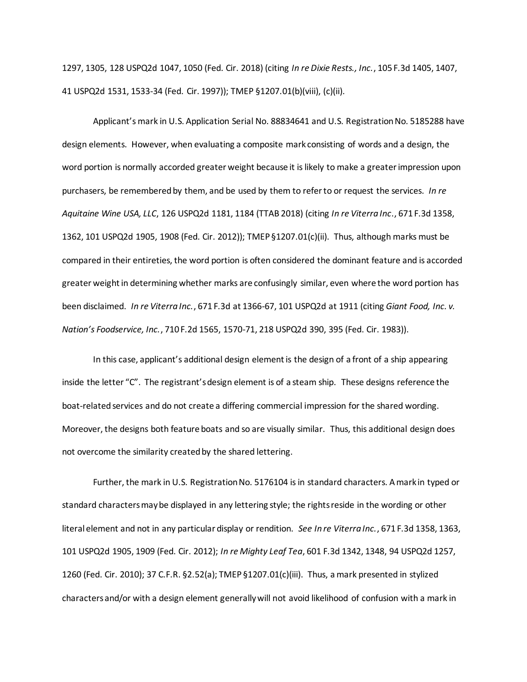1297, 1305, 128 USPQ2d 1047, 1050 (Fed. Cir. 2018) (citing *In re Dixie Rests., Inc.*, 105 F.3d 1405, 1407, 41 USPQ2d 1531, 1533-34 (Fed. Cir. 1997)); TMEP §1207.01(b)(viii), (c)(ii).

Applicant's mark in U.S. Application Serial No. 88834641 and U.S. Registration No. 5185288 have design elements. However, when evaluating a composite mark consisting of words and a design, the word portion is normally accorded greater weight because it is likely to make a greater impression upon purchasers, be remembered by them, and be used by them to refer to or request the services. *In re Aquitaine Wine USA, LLC*, 126 USPQ2d 1181, 1184 (TTAB 2018) (citing *In re Viterra Inc*., 671 F.3d 1358, 1362, 101 USPQ2d 1905, 1908 (Fed. Cir. 2012)); TMEP §1207.01(c)(ii). Thus, although marks must be compared in their entireties, the word portion is often considered the dominant feature and is accorded greater weight in determining whether marks are confusingly similar, even where the word portion has been disclaimed. *In re Viterra Inc.*, 671 F.3d at 1366-67, 101 USPQ2d at 1911 (citing *Giant Food, Inc. v. Nation's Foodservice, Inc.*, 710 F.2d 1565, 1570-71, 218 USPQ2d 390, 395 (Fed. Cir. 1983)).

In this case, applicant's additional design element is the design of a front of a ship appearing inside the letter "C". The registrant's design element is of a steam ship. These designs reference the boat-related services and do not create a differing commercial impression for the shared wording. Moreover, the designs both feature boats and so are visually similar. Thus, this additional design does not overcome the similarity created by the shared lettering.

Further, the mark in U.S. Registration No. 5176104 is in standard characters. A mark in typed or standard characters may be displayed in any lettering style; the rights reside in the wording or other literal element and not in any particular display or rendition. *See In re Viterra Inc.*, 671 F.3d 1358, 1363, 101 USPQ2d 1905, 1909 (Fed. Cir. 2012); *In re Mighty Leaf Tea*, 601 F.3d 1342, 1348, 94 USPQ2d 1257, 1260 (Fed. Cir. 2010); 37 C.F.R. §2.52(a); TMEP §1207.01(c)(iii). Thus, a mark presented in stylized characters and/or with a design element generally will not avoid likelihood of confusion with a mark in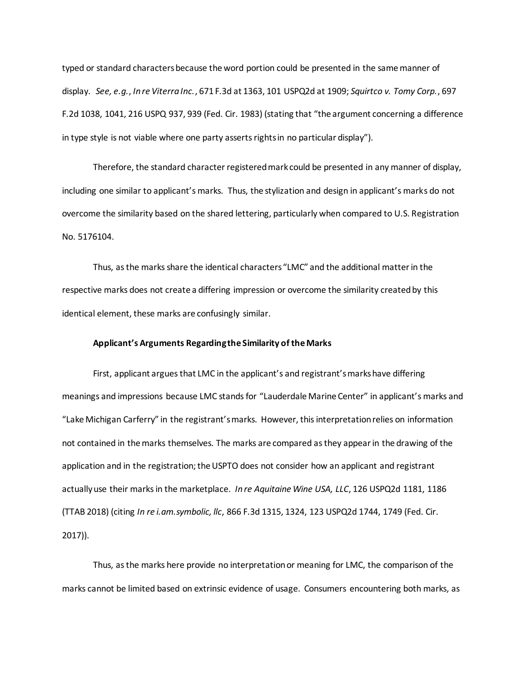typed or standard characters because the word portion could be presented in the same manner of display. *See, e.g.*, *In re Viterra Inc.*, 671 F.3d at 1363, 101 USPQ2d at 1909; *Squirtco v. Tomy Corp.*, 697 F.2d 1038, 1041, 216 USPQ 937, 939 (Fed. Cir. 1983) (stating that "the argument concerning a difference in type style is not viable where one party asserts rights in no particular display").

Therefore, the standard character registered mark could be presented in any manner of display, including one similar to applicant's marks. Thus, the stylization and design in applicant's marks do not overcome the similarity based on the shared lettering, particularly when compared to U.S. Registration No. 5176104.

Thus, as the marks share the identical characters "LMC" and the additional matter in the respective marks does not create a differing impression or overcome the similarity created by this identical element, these marks are confusingly similar.

#### **Applicant's Arguments Regarding the Similarity of the Marks**

First, applicant argues that LMC in the applicant's and registrant's marks have differing meanings and impressions because LMC stands for "Lauderdale Marine Center" in applicant's marks and "Lake Michigan Carferry" in the registrant's marks. However, this interpretation relies on information not contained in the marks themselves. The marks are compared as they appear in the drawing of the application and in the registration; the USPTO does not consider how an applicant and registrant actually use their marks in the marketplace. *In re Aquitaine Wine USA, LLC*, 126 USPQ2d 1181, 1186 (TTAB 2018) (citing *In re i.am.symbolic, llc*, 866 F.3d 1315, 1324, 123 USPQ2d 1744, 1749 (Fed. Cir. 2017)).

Thus, as the marks here provide no interpretation or meaning for LMC, the comparison of the marks cannot be limited based on extrinsic evidence of usage. Consumers encountering both marks, as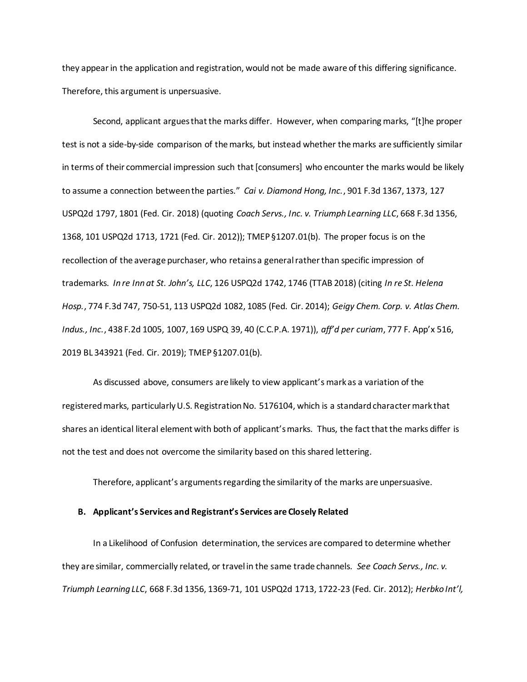they appear in the application and registration, would not be made aware of this differing significance. Therefore, this argument is unpersuasive.

Second, applicant argues that the marks differ. However, when comparing marks, "[t]he proper test is not a side-by-side comparison of the marks, but instead whether the marks are sufficiently similar in terms of their commercial impression such that [consumers] who encounter the marks would be likely to assume a connection between the parties." *Cai v. Diamond Hong, Inc.*, 901 F.3d 1367, 1373, 127 USPQ2d 1797, 1801 (Fed. Cir. 2018) (quoting *Coach Servs., Inc. v. Triumph Learning LLC*, 668 F.3d 1356, 1368, 101 USPQ2d 1713, 1721 (Fed. Cir. 2012)); TMEP §1207.01(b). The proper focus is on the recollection of the average purchaser, who retains a general rather than specific impression of trademarks. *In re Inn at St. John's, LLC*, 126 USPQ2d 1742, 1746 (TTAB 2018) (citing *In re St. Helena Hosp.*, 774 F.3d 747, 750-51, 113 USPQ2d 1082, 1085 (Fed. Cir. 2014); *Geigy Chem. Corp. v. Atlas Chem. Indus., Inc.*, 438 F.2d 1005, 1007, 169 USPQ 39, 40 (C.C.P.A. 1971)), *aff'd per curiam*, 777 F. App'x 516, 2019 BL 343921 (Fed. Cir. 2019); TMEP §1207.01(b).

As discussed above, consumers are likely to view applicant's mark as a variation of the registered marks, particularly U.S. Registration No. 5176104, which is a standard character mark that shares an identical literal element with both of applicant's marks. Thus, the fact that the marks differ is not the test and does not overcome the similarity based on this shared lettering.

Therefore, applicant's argumentsregarding the similarity of the marks are unpersuasive.

### **B. Applicant's Services and Registrant's Services are Closely Related**

In a Likelihood of Confusion determination, the services are compared to determine whether they are similar, commercially related, or travel in the same trade channels. *See Coach Servs., Inc. v. Triumph Learning LLC*, 668 F.3d 1356, 1369-71, 101 USPQ2d 1713, 1722-23 (Fed. Cir. 2012); *Herbko Int'l,*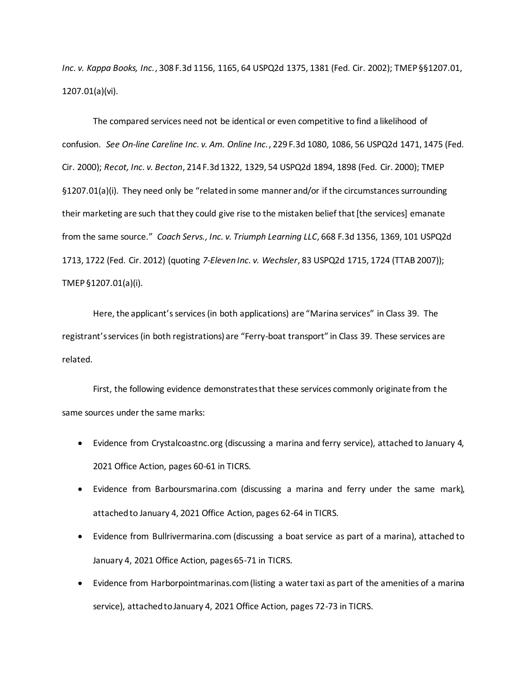*Inc. v. Kappa Books, Inc.*, 308 F.3d 1156, 1165, 64 USPQ2d 1375, 1381 (Fed. Cir. 2002); TMEP §§1207.01, 1207.01(a)(vi).

The compared services need not be identical or even competitive to find a likelihood of confusion. *See On-line Careline Inc. v. Am. Online Inc.*, 229 F.3d 1080, 1086, 56 USPQ2d 1471, 1475 (Fed. Cir. 2000); *Recot, Inc. v. Becton*, 214 F.3d 1322, 1329, 54 USPQ2d 1894, 1898 (Fed. Cir. 2000); TMEP §1207.01(a)(i). They need only be "related in some manner and/or if the circumstances surrounding their marketing are such that they could give rise to the mistaken belief that [the services] emanate from the same source." *Coach Servs., Inc. v. Triumph Learning LLC*, 668 F.3d 1356, 1369, 101 USPQ2d 1713, 1722 (Fed. Cir. 2012) (quoting *7-Eleven Inc. v. Wechsler*, 83 USPQ2d 1715, 1724 (TTAB 2007)); TMEP §1207.01(a)(i).

Here, the applicant's services (in both applications) are "Marina services" in Class 39. The registrant's services (in both registrations) are "Ferry-boat transport" in Class 39. These services are related.

First, the following evidence demonstrates that these services commonly originate from the same sources under the same marks:

- Evidence from Crystalcoastnc.org (discussing a marina and ferry service), attached to January 4, 2021 Office Action, pages 60-61 in TICRS.
- Evidence from Barboursmarina.com (discussing a marina and ferry under the same mark), attached to January 4, 2021 Office Action, pages 62-64 in TICRS.
- Evidence from Bullrivermarina.com (discussing a boat service as part of a marina), attached to January 4, 2021 Office Action, pages 65-71 in TICRS.
- Evidence from Harborpointmarinas.com (listing a water taxi as part of the amenities of a marina service), attached to January 4, 2021 Office Action, pages 72-73 in TICRS.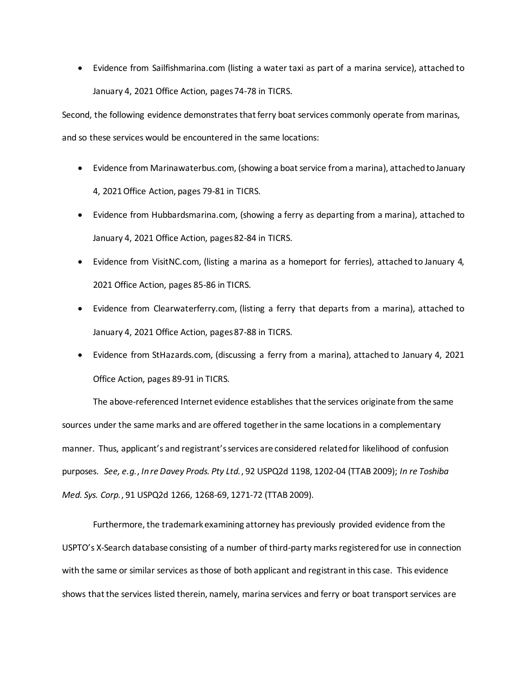Evidence from Sailfishmarina.com (listing a water taxi as part of a marina service), attached to January 4, 2021 Office Action, pages 74-78 in TICRS.

Second, the following evidence demonstrates that ferry boat services commonly operate from marinas, and so these services would be encountered in the same locations:

- Evidence from Marinawaterbus.com, (showing a boat service from a marina), attached to January 4, 2021 Office Action, pages 79-81 in TICRS.
- Evidence from Hubbardsmarina.com, (showing a ferry as departing from a marina), attached to January 4, 2021 Office Action, pages 82-84 in TICRS.
- Evidence from VisitNC.com, (listing a marina as a homeport for ferries), attached to January 4, 2021 Office Action, pages 85-86 in TICRS.
- Evidence from Clearwaterferry.com, (listing a ferry that departs from a marina), attached to January 4, 2021 Office Action, pages 87-88 in TICRS.
- Evidence from StHazards.com, (discussing a ferry from a marina), attached to January 4, 2021 Office Action, pages 89-91 in TICRS.

The above-referenced Internet evidence establishes that the services originate from the same sources under the same marks and are offered together in the same locations in a complementary manner. Thus, applicant's and registrant's services are considered related for likelihood of confusion purposes. *See, e.g.*, *In re Davey Prods. Pty Ltd.*, 92 USPQ2d 1198, 1202-04 (TTAB 2009); *In re Toshiba Med. Sys. Corp.*, 91 USPQ2d 1266, 1268-69, 1271-72 (TTAB 2009).

Furthermore, the trademark examining attorney has previously provided evidence from the USPTO's X-Search database consisting of a number of third-party marks registered for use in connection with the same or similar services as those of both applicant and registrant in this case. This evidence shows that the services listed therein, namely, marina services and ferry or boat transport services are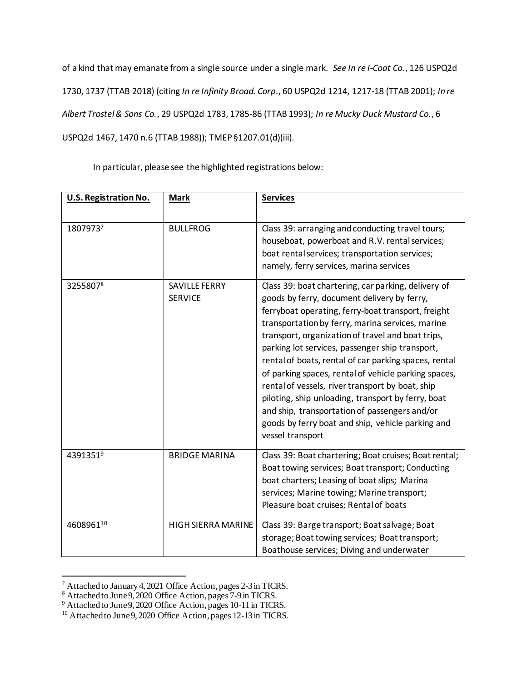of a kind that may emanate from a single source under a single mark. *See In re I-Coat Co.*, 126 USPQ2d 1730, 1737 (TTAB 2018) (citing *In re Infinity Broad. Corp*., 60 USPQ2d 1214, 1217-18 (TTAB 2001); *In re Albert Trostel & Sons Co.*, 29 USPQ2d 1783, 1785-86 (TTAB 1993); *In re Mucky Duck Mustard Co.*, 6 USPQ2d 1467, 1470 n.6 (TTAB 1988)); TMEP §1207.01(d)(iii).

In particular, please see the highlighted registrations below:

| U.S. Registration No. | <b>Mark</b>                     | <b>Services</b>                                                                                                                                                                                                                                                                                                                                                                                                                                                                                                                                                                                                                                                           |
|-----------------------|---------------------------------|---------------------------------------------------------------------------------------------------------------------------------------------------------------------------------------------------------------------------------------------------------------------------------------------------------------------------------------------------------------------------------------------------------------------------------------------------------------------------------------------------------------------------------------------------------------------------------------------------------------------------------------------------------------------------|
| 18079737              | <b>BULLFROG</b>                 | Class 39: arranging and conducting travel tours;<br>houseboat, powerboat and R.V. rental services;<br>boat rental services; transportation services;<br>namely, ferry services, marina services                                                                                                                                                                                                                                                                                                                                                                                                                                                                           |
| 32558078              | SAVILLE FERRY<br><b>SERVICE</b> | Class 39: boat chartering, car parking, delivery of<br>goods by ferry, document delivery by ferry,<br>ferryboat operating, ferry-boat transport, freight<br>transportation by ferry, marina services, marine<br>transport, organization of travel and boat trips,<br>parking lot services, passenger ship transport,<br>rental of boats, rental of car parking spaces, rental<br>of parking spaces, rental of vehicle parking spaces,<br>rental of vessels, river transport by boat, ship<br>piloting, ship unloading, transport by ferry, boat<br>and ship, transportation of passengers and/or<br>goods by ferry boat and ship, vehicle parking and<br>vessel transport |
| 43913519              | <b>BRIDGE MARINA</b>            | Class 39: Boat chartering; Boat cruises; Boat rental;<br>Boat towing services; Boat transport; Conducting<br>boat charters; Leasing of boat slips; Marina<br>services; Marine towing; Marine transport;<br>Pleasure boat cruises; Rental of boats                                                                                                                                                                                                                                                                                                                                                                                                                         |
| 460896110             | <b>HIGH SIERRA MARINE</b>       | Class 39: Barge transport; Boat salvage; Boat<br>storage; Boat towing services; Boat transport;<br>Boathouse services; Diving and underwater                                                                                                                                                                                                                                                                                                                                                                                                                                                                                                                              |

<sup>&</sup>lt;sup>7</sup> Attached to January 4, 2021 Office Action, pages 2-3 in TICRS.

<sup>&</sup>lt;sup>8</sup> Attached to June 9, 2020 Office Action, pages 7-9 in TICRS.

<sup>&</sup>lt;sup>9</sup> Attached to June 9, 2020 Office Action, pages 10-11 in TICRS.

<sup>&</sup>lt;sup>10</sup> Attached to June 9, 2020 Office Action, pages 12-13 in TICRS.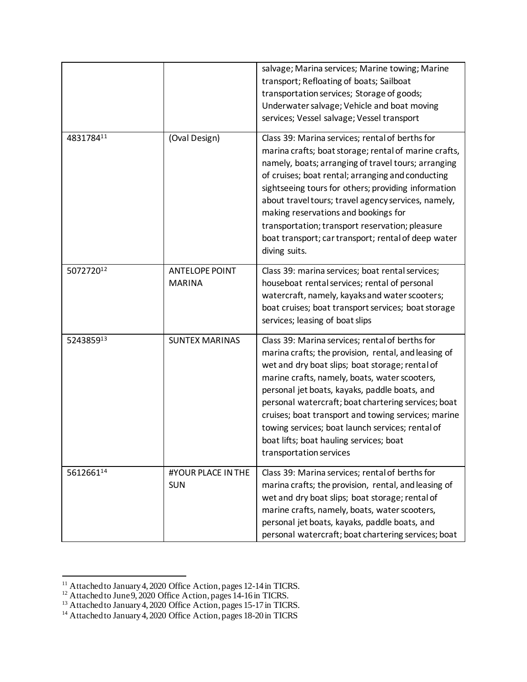|           |                                        | salvage; Marina services; Marine towing; Marine<br>transport; Refloating of boats; Sailboat<br>transportation services; Storage of goods;<br>Underwater salvage; Vehicle and boat moving<br>services; Vessel salvage; Vessel transport                                                                                                                                                                                                                                                                |
|-----------|----------------------------------------|-------------------------------------------------------------------------------------------------------------------------------------------------------------------------------------------------------------------------------------------------------------------------------------------------------------------------------------------------------------------------------------------------------------------------------------------------------------------------------------------------------|
| 483178411 | (Oval Design)                          | Class 39: Marina services; rental of berths for<br>marina crafts; boat storage; rental of marine crafts,<br>namely, boats; arranging of travel tours; arranging<br>of cruises; boat rental; arranging and conducting<br>sightseeing tours for others; providing information<br>about travel tours; travel agency services, namely,<br>making reservations and bookings for<br>transportation; transport reservation; pleasure<br>boat transport; car transport; rental of deep water<br>diving suits. |
| 507272012 | <b>ANTELOPE POINT</b><br><b>MARINA</b> | Class 39: marina services; boat rental services;<br>houseboat rental services; rental of personal<br>watercraft, namely, kayaks and water scooters;<br>boat cruises; boat transport services; boat storage<br>services; leasing of boat slips                                                                                                                                                                                                                                                         |
| 524385913 | <b>SUNTEX MARINAS</b>                  | Class 39: Marina services; rental of berths for<br>marina crafts; the provision, rental, and leasing of<br>wet and dry boat slips; boat storage; rental of<br>marine crafts, namely, boats, water scooters,<br>personal jet boats, kayaks, paddle boats, and<br>personal watercraft; boat chartering services; boat<br>cruises; boat transport and towing services; marine<br>towing services; boat launch services; rental of<br>boat lifts; boat hauling services; boat<br>transportation services  |
| 561266114 | #YOUR PLACE IN THE<br><b>SUN</b>       | Class 39: Marina services; rental of berths for<br>marina crafts; the provision, rental, and leasing of<br>wet and dry boat slips; boat storage; rental of<br>marine crafts, namely, boats, water scooters,<br>personal jet boats, kayaks, paddle boats, and<br>personal watercraft; boat chartering services; boat                                                                                                                                                                                   |

<sup>&</sup>lt;sup>11</sup> Attached to January 4, 2020 Office Action, pages 12-14 in TICRS.

<sup>&</sup>lt;sup>12</sup> Attached to June 9, 2020 Office Action, pages 14-16 in TICRS.

<sup>&</sup>lt;sup>13</sup> Attached to January 4, 2020 Office Action, pages 15-17 in TICRS.

<sup>&</sup>lt;sup>14</sup> Attached to January 4, 2020 Office Action, pages 18-20 in TICRS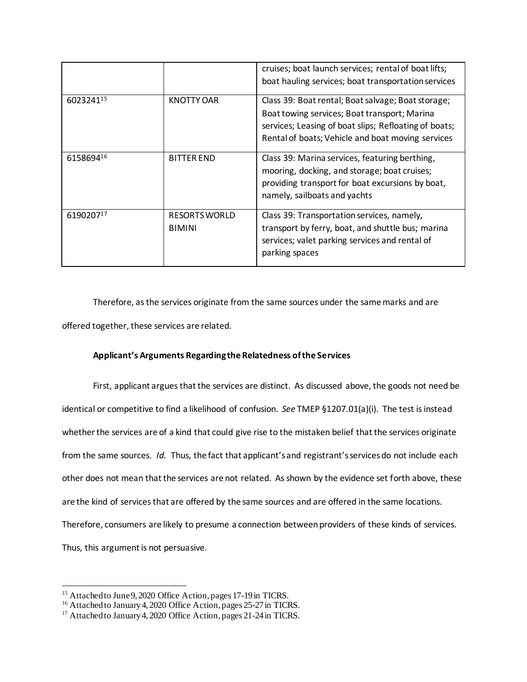|           |                                | cruises; boat launch services; rental of boat lifts;<br>boat hauling services; boat transportation services                                                                                                      |
|-----------|--------------------------------|------------------------------------------------------------------------------------------------------------------------------------------------------------------------------------------------------------------|
| 602324115 | <b>KNOTTY OAR</b>              | Class 39: Boat rental; Boat salvage; Boat storage;<br>Boat towing services; Boat transport; Marina<br>services; Leasing of boat slips; Refloating of boats;<br>Rental of boats; Vehicle and boat moving services |
| 615869416 | <b>BITTER END</b>              | Class 39: Marina services, featuring berthing,<br>mooring, docking, and storage; boat cruises;<br>providing transport for boat excursions by boat,<br>namely, sailboats and yachts                               |
| 619020717 | RESORTS WORLD<br><b>BIMINI</b> | Class 39: Transportation services, namely,<br>transport by ferry, boat, and shuttle bus; marina<br>services; valet parking services and rental of<br>parking spaces                                              |

Therefore, as the services originate from the same sources under the same marks and are offered together, these services are related.

### **Applicant's Arguments Regarding the Relatedness of the Services**

First, applicant argues that the services are distinct. As discussed above, the goods not need be identical or competitive to find a likelihood of confusion. *See* TMEP §1207.01(a)(i). The test is instead whether the services are of a kind that could give rise to the mistaken belief that the services originate from the same sources. *Id.* Thus, the fact that applicant's and registrant's services do not include each other does not mean that the services are not related. As shown by the evidence set forth above, these are the kind of services that are offered by the same sources and are offered in the same locations. Therefore, consumers are likely to presume a connection between providers of these kinds of services. Thus, this argument is not persuasive.

<sup>&</sup>lt;sup>15</sup> Attached to June 9, 2020 Office Action, pages 17-19 in TICRS.

<sup>&</sup>lt;sup>16</sup> Attached to January 4, 2020 Office Action, pages 25-27 in TICRS.

<sup>&</sup>lt;sup>17</sup> Attached to January 4, 2020 Office Action, pages 21-24 in TICRS.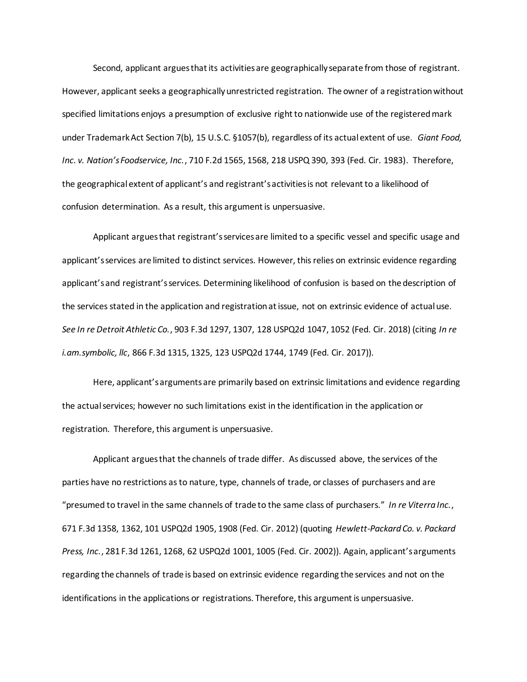Second, applicant argues that its activities are geographically separate from those of registrant. However, applicant seeks a geographically unrestricted registration. The owner of a registration without specified limitations enjoys a presumption of exclusive right to nationwide use of the registered mark under Trademark Act Section 7(b), 15 U.S.C. §1057(b), regardless of its actual extent of use. *Giant Food, Inc. v. Nation's Foodservice, Inc.*, 710 F.2d 1565, 1568, 218 USPQ 390, 393 (Fed. Cir. 1983). Therefore, the geographical extent of applicant's and registrant's activities is not relevant to a likelihood of confusion determination. As a result, this argument is unpersuasive.

Applicant argues that registrant's services are limited to a specific vessel and specific usage and applicant's services are limited to distinct services. However, this relies on extrinsic evidence regarding applicant's and registrant's services. Determining likelihood of confusion is based on the description of the services stated in the application and registration at issue, not on extrinsic evidence of actual use. *See In re Detroit Athletic Co.*, 903 F.3d 1297, 1307, 128 USPQ2d 1047, 1052 (Fed. Cir. 2018) (citing *In re i.am.symbolic, llc*, 866 F.3d 1315, 1325, 123 USPQ2d 1744, 1749 (Fed. Cir. 2017)).

Here, applicant's arguments are primarily based on extrinsic limitations and evidence regarding the actual services; however no such limitations exist in the identification in the application or registration. Therefore, this argument is unpersuasive.

Applicant argues that the channels of trade differ. As discussed above, the services of the parties have no restrictions as to nature, type, channels of trade, or classes of purchasers and are "presumed to travel in the same channels of trade to the same class of purchasers." *In re Viterra Inc.*, 671 F.3d 1358, 1362, 101 USPQ2d 1905, 1908 (Fed. Cir. 2012) (quoting *Hewlett-Packard Co. v. Packard Press, Inc.*, 281 F.3d 1261, 1268, 62 USPQ2d 1001, 1005 (Fed. Cir. 2002)). Again, applicant's arguments regarding the channels of trade is based on extrinsic evidence regarding the services and not on the identifications in the applications or registrations. Therefore, this argument is unpersuasive.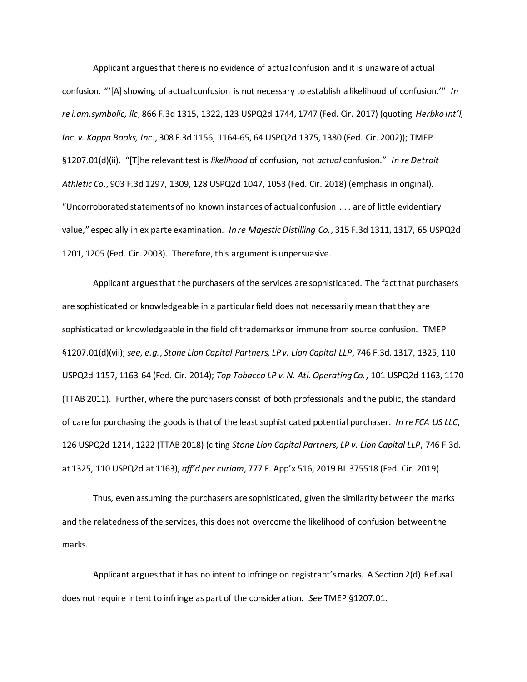Applicant argues that there is no evidence of actual confusion and it is unaware of actual confusion. "'[A] showing of actual confusion is not necessary to establish a likelihood of confusion.'" *In re i.am.symbolic, llc*, 866 F.3d 1315, 1322, 123 USPQ2d 1744, 1747 (Fed. Cir. 2017) (quoting *Herbko Int'l, Inc. v. Kappa Books, Inc.*, 308 F.3d 1156, 1164-65, 64 USPQ2d 1375, 1380 (Fed. Cir. 2002)); TMEP §1207.01(d)(ii). "[T]he relevant test is *likelihood* of confusion, not *actual* confusion." *In re Detroit Athletic Co*., 903 F.3d 1297, 1309, 128 USPQ2d 1047, 1053 (Fed. Cir. 2018) (emphasis in original). "Uncorroborated statements of no known instances of actual confusion . . . are of little evidentiary value," especially in ex parte examination. *In re Majestic Distilling Co.*, 315 F.3d 1311, 1317, 65 USPQ2d 1201, 1205 (Fed. Cir. 2003). Therefore, this argument is unpersuasive.

Applicant argues that the purchasers of the services are sophisticated. The fact that purchasers are sophisticated or knowledgeable in a particular field does not necessarily mean that they are sophisticated or knowledgeable in the field of trademarks or immune from source confusion. TMEP §1207.01(d)(vii); *see, e.g.*, *Stone Lion Capital Partners, LP v. Lion Capital LLP*, 746 F.3d. 1317, 1325, 110 USPQ2d 1157, 1163-64 (Fed. Cir. 2014); *Top Tobacco LP v. N. Atl. Operating Co.*, 101 USPQ2d 1163, 1170 (TTAB 2011). Further, where the purchasers consist of both professionals and the public, the standard of care for purchasing the goods is that of the least sophisticated potential purchaser. *In re FCA US LLC*, 126 USPQ2d 1214, 1222 (TTAB 2018) (citing *Stone Lion Capital Partners, LP v. Lion Capital LLP*, 746 F.3d. at 1325, 110 USPQ2d at 1163), *aff'd per curiam*, 777 F. App'x 516, 2019 BL 375518 (Fed. Cir. 2019).

Thus, even assuming the purchasers are sophisticated, given the similarity between the marks and the relatedness of the services, this does not overcome the likelihood of confusion between the marks.

Applicant argues that it has no intent to infringe on registrant's marks. A Section 2(d) Refusal does not require intent to infringe as part of the consideration. *See* TMEP §1207.01.